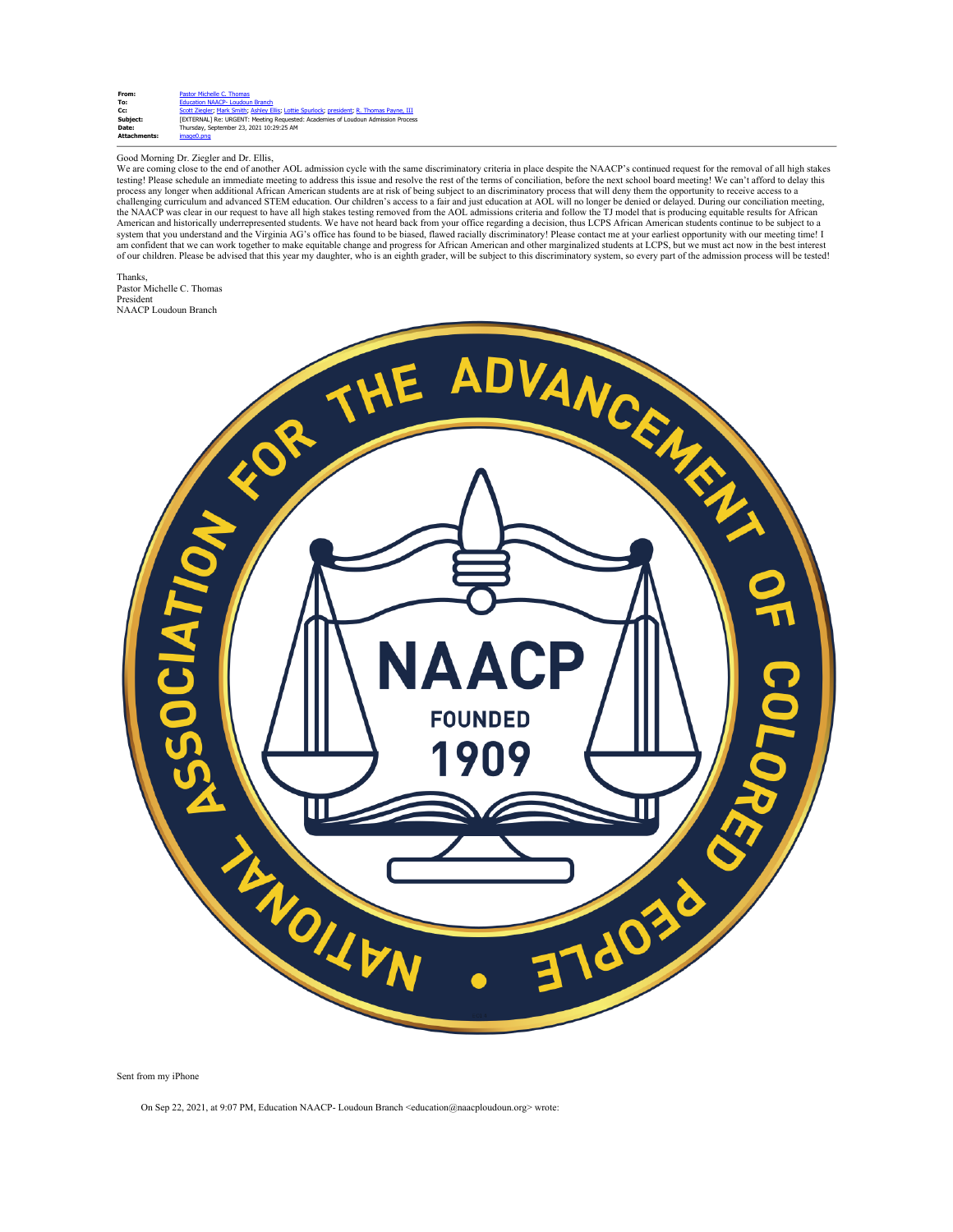| From:               | Pastor Michelle C. Thomas                                                                 |
|---------------------|-------------------------------------------------------------------------------------------|
| To:                 | Education NAACP- Loudoun Branch                                                           |
| Cc:                 | Scott Ziegler; Mark Smith; Ashley Ellis; Lottie Spurlock; president; R. Thomas Payne, III |
| Subject:            | <b>FEXTERNAL1 Re: URGENT: Meeting Requested: Academies of Loudoun Admission Process</b>   |
| Date:               | Thursday, September 23, 2021 10:29:25 AM                                                  |
| <b>Attachments:</b> | image0.png                                                                                |

## Good Morning Dr. Ziegler and Dr. Ellis,

We are coming close to the end of another AOL admission cycle with the same discriminatory criteria in place despite the NAACP's continued request for the removal of all high stakes testing! Please schedule an immediate meeting to address this issue and resolve the rest of the terms of conciliation, before the next school board meeting! We can't afford to delay this process any longer when additional African American students are at risk of being subject to an discriminatory process that will deny them the opportunity to receive access to a<br>challenging curriculum and advanced STEM edu the NAACP was clear in our request to have all high stakes testing removed from the AOL admissions criteria and follow the TJ model that is producing equitable results for African<br>American and historically underrepresented am confident that we can work together to make equitable change and progress for African American and other marginalized students at LCPS, but we must act now in the best interest<br>of our children. Please be advised that th

Thanks, Pastor Michelle C. Thomas President NAACP Loudoun Branch



Sent from my iPhone

On Sep 22, 2021, at 9:07 PM, Education NAACP- Loudoun Branch <education@naacploudoun.org> wrote: